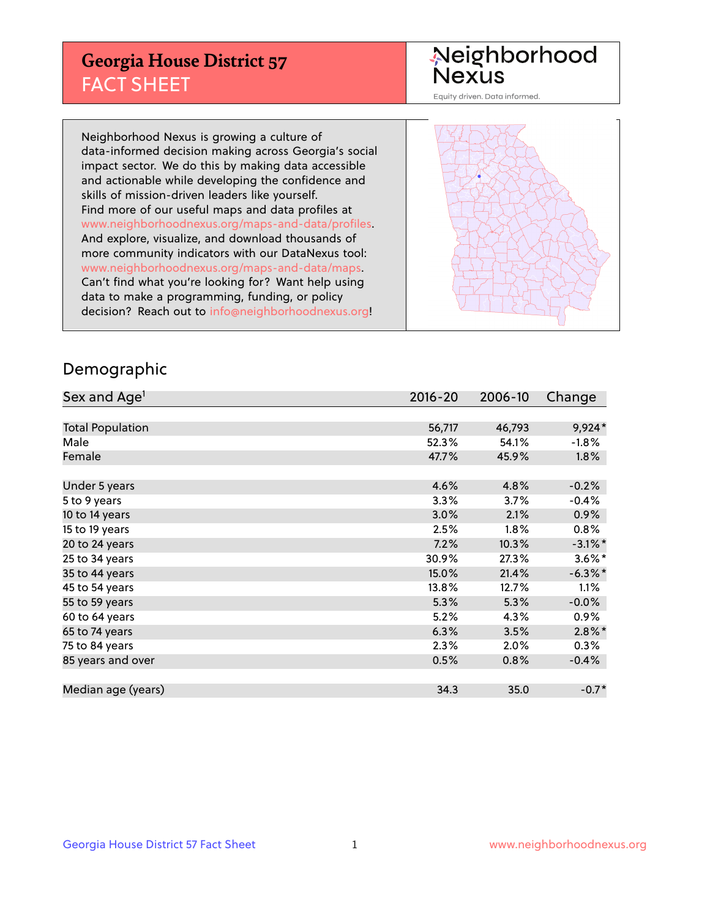## **Georgia House District 57** FACT SHEET

# Neighborhood<br>Nexus

Equity driven. Data informed.

Neighborhood Nexus is growing a culture of data-informed decision making across Georgia's social impact sector. We do this by making data accessible and actionable while developing the confidence and skills of mission-driven leaders like yourself. Find more of our useful maps and data profiles at www.neighborhoodnexus.org/maps-and-data/profiles. And explore, visualize, and download thousands of more community indicators with our DataNexus tool: www.neighborhoodnexus.org/maps-and-data/maps. Can't find what you're looking for? Want help using data to make a programming, funding, or policy decision? Reach out to [info@neighborhoodnexus.org!](mailto:info@neighborhoodnexus.org)



### Demographic

| Sex and Age <sup>1</sup> | $2016 - 20$ | 2006-10 | Change     |
|--------------------------|-------------|---------|------------|
|                          |             |         |            |
| <b>Total Population</b>  | 56,717      | 46,793  | 9,924*     |
| Male                     | 52.3%       | 54.1%   | $-1.8%$    |
| Female                   | 47.7%       | 45.9%   | $1.8\%$    |
|                          |             |         |            |
| Under 5 years            | 4.6%        | 4.8%    | $-0.2%$    |
| 5 to 9 years             | 3.3%        | 3.7%    | $-0.4%$    |
| 10 to 14 years           | 3.0%        | 2.1%    | 0.9%       |
| 15 to 19 years           | 2.5%        | $1.8\%$ | 0.8%       |
| 20 to 24 years           | 7.2%        | 10.3%   | $-3.1\%$ * |
| 25 to 34 years           | 30.9%       | 27.3%   | $3.6\%$ *  |
| 35 to 44 years           | 15.0%       | 21.4%   | $-6.3\%$ * |
| 45 to 54 years           | 13.8%       | 12.7%   | 1.1%       |
| 55 to 59 years           | 5.3%        | 5.3%    | $-0.0%$    |
| 60 to 64 years           | 5.2%        | 4.3%    | $0.9\%$    |
| 65 to 74 years           | 6.3%        | 3.5%    | $2.8\%$ *  |
| 75 to 84 years           | 2.3%        | 2.0%    | 0.3%       |
| 85 years and over        | 0.5%        | 0.8%    | $-0.4%$    |
|                          |             |         |            |
| Median age (years)       | 34.3        | 35.0    | $-0.7*$    |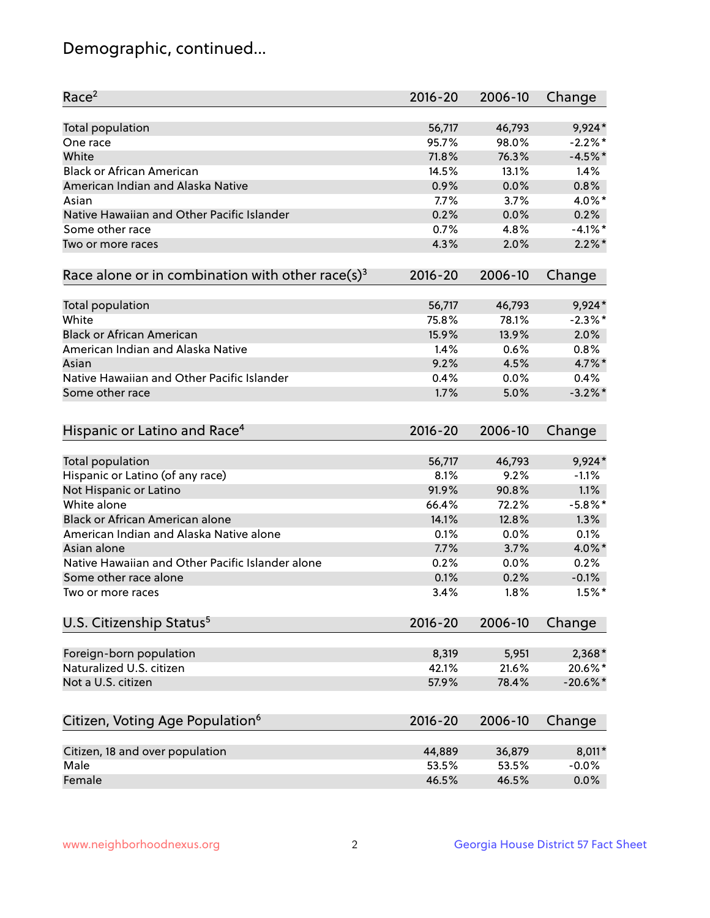## Demographic, continued...

| <b>Total population</b><br>9,924*<br>56,717<br>46,793<br>98.0%<br>$-2.2%$ *<br>95.7%<br>One race<br>White<br>71.8%<br>76.3%<br>$-4.5%$ *<br><b>Black or African American</b><br>14.5%<br>13.1%<br>1.4%<br>American Indian and Alaska Native<br>0.8%<br>0.9%<br>0.0%<br>4.0%*<br>7.7%<br>3.7%<br>Asian<br>Native Hawaiian and Other Pacific Islander<br>0.2%<br>0.2%<br>0.0%<br>Some other race<br>$-4.1%$ *<br>0.7%<br>4.8%<br>4.3%<br>$2.2\%$ *<br>2.0%<br>Two or more races<br>Race alone or in combination with other race(s) <sup>3</sup><br>$2016 - 20$<br>2006-10<br>Change<br>56,717<br>46,793<br>9,924*<br>Total population<br>White<br>$-2.3%$ *<br>75.8%<br>78.1%<br><b>Black or African American</b><br>2.0%<br>15.9%<br>13.9%<br>American Indian and Alaska Native<br>0.6%<br>0.8%<br>1.4%<br>9.2%<br>4.7%*<br>4.5%<br>Asian<br>Native Hawaiian and Other Pacific Islander<br>0.4%<br>0.0%<br>0.4%<br>$-3.2\%$ *<br>1.7%<br>5.0%<br>Some other race<br>Hispanic or Latino and Race <sup>4</sup><br>$2016 - 20$<br>2006-10<br>Change<br><b>Total population</b><br>56,717<br>9,924*<br>46,793<br>Hispanic or Latino (of any race)<br>$-1.1%$<br>8.1%<br>9.2%<br>Not Hispanic or Latino<br>91.9%<br>90.8%<br>1.1%<br>White alone<br>66.4%<br>$-5.8\%$ *<br>72.2%<br><b>Black or African American alone</b><br>1.3%<br>14.1%<br>12.8%<br>American Indian and Alaska Native alone<br>0.1%<br>0.1%<br>0.0%<br>7.7%<br>4.0%*<br>Asian alone<br>3.7%<br>Native Hawaiian and Other Pacific Islander alone<br>0.2%<br>0.0%<br>0.2%<br>$-0.1%$<br>Some other race alone<br>0.1%<br>0.2%<br>3.4%<br>1.8%<br>$1.5\%$ *<br>Two or more races<br>U.S. Citizenship Status <sup>5</sup><br>$2016 - 20$<br>2006-10<br>Change<br>Foreign-born population<br>8,319<br>5,951<br>2,368*<br>Naturalized U.S. citizen<br>20.6%*<br>42.1%<br>21.6%<br>Not a U.S. citizen<br>$-20.6%$ *<br>57.9%<br>78.4%<br>Citizen, Voting Age Population <sup>6</sup><br>$2016 - 20$<br>2006-10<br>Change<br>8,011*<br>Citizen, 18 and over population<br>44,889<br>36,879<br>Male<br>53.5%<br>53.5%<br>$-0.0%$<br>Female<br>0.0%<br>46.5%<br>46.5% | Race <sup>2</sup> | $2016 - 20$ | 2006-10 | Change |
|---------------------------------------------------------------------------------------------------------------------------------------------------------------------------------------------------------------------------------------------------------------------------------------------------------------------------------------------------------------------------------------------------------------------------------------------------------------------------------------------------------------------------------------------------------------------------------------------------------------------------------------------------------------------------------------------------------------------------------------------------------------------------------------------------------------------------------------------------------------------------------------------------------------------------------------------------------------------------------------------------------------------------------------------------------------------------------------------------------------------------------------------------------------------------------------------------------------------------------------------------------------------------------------------------------------------------------------------------------------------------------------------------------------------------------------------------------------------------------------------------------------------------------------------------------------------------------------------------------------------------------------------------------------------------------------------------------------------------------------------------------------------------------------------------------------------------------------------------------------------------------------------------------------------------------------------------------------------------------------------------------------------------------------------------------------------------------------------------------------------------|-------------------|-------------|---------|--------|
|                                                                                                                                                                                                                                                                                                                                                                                                                                                                                                                                                                                                                                                                                                                                                                                                                                                                                                                                                                                                                                                                                                                                                                                                                                                                                                                                                                                                                                                                                                                                                                                                                                                                                                                                                                                                                                                                                                                                                                                                                                                                                                                           |                   |             |         |        |
|                                                                                                                                                                                                                                                                                                                                                                                                                                                                                                                                                                                                                                                                                                                                                                                                                                                                                                                                                                                                                                                                                                                                                                                                                                                                                                                                                                                                                                                                                                                                                                                                                                                                                                                                                                                                                                                                                                                                                                                                                                                                                                                           |                   |             |         |        |
|                                                                                                                                                                                                                                                                                                                                                                                                                                                                                                                                                                                                                                                                                                                                                                                                                                                                                                                                                                                                                                                                                                                                                                                                                                                                                                                                                                                                                                                                                                                                                                                                                                                                                                                                                                                                                                                                                                                                                                                                                                                                                                                           |                   |             |         |        |
|                                                                                                                                                                                                                                                                                                                                                                                                                                                                                                                                                                                                                                                                                                                                                                                                                                                                                                                                                                                                                                                                                                                                                                                                                                                                                                                                                                                                                                                                                                                                                                                                                                                                                                                                                                                                                                                                                                                                                                                                                                                                                                                           |                   |             |         |        |
|                                                                                                                                                                                                                                                                                                                                                                                                                                                                                                                                                                                                                                                                                                                                                                                                                                                                                                                                                                                                                                                                                                                                                                                                                                                                                                                                                                                                                                                                                                                                                                                                                                                                                                                                                                                                                                                                                                                                                                                                                                                                                                                           |                   |             |         |        |
|                                                                                                                                                                                                                                                                                                                                                                                                                                                                                                                                                                                                                                                                                                                                                                                                                                                                                                                                                                                                                                                                                                                                                                                                                                                                                                                                                                                                                                                                                                                                                                                                                                                                                                                                                                                                                                                                                                                                                                                                                                                                                                                           |                   |             |         |        |
|                                                                                                                                                                                                                                                                                                                                                                                                                                                                                                                                                                                                                                                                                                                                                                                                                                                                                                                                                                                                                                                                                                                                                                                                                                                                                                                                                                                                                                                                                                                                                                                                                                                                                                                                                                                                                                                                                                                                                                                                                                                                                                                           |                   |             |         |        |
|                                                                                                                                                                                                                                                                                                                                                                                                                                                                                                                                                                                                                                                                                                                                                                                                                                                                                                                                                                                                                                                                                                                                                                                                                                                                                                                                                                                                                                                                                                                                                                                                                                                                                                                                                                                                                                                                                                                                                                                                                                                                                                                           |                   |             |         |        |
|                                                                                                                                                                                                                                                                                                                                                                                                                                                                                                                                                                                                                                                                                                                                                                                                                                                                                                                                                                                                                                                                                                                                                                                                                                                                                                                                                                                                                                                                                                                                                                                                                                                                                                                                                                                                                                                                                                                                                                                                                                                                                                                           |                   |             |         |        |
|                                                                                                                                                                                                                                                                                                                                                                                                                                                                                                                                                                                                                                                                                                                                                                                                                                                                                                                                                                                                                                                                                                                                                                                                                                                                                                                                                                                                                                                                                                                                                                                                                                                                                                                                                                                                                                                                                                                                                                                                                                                                                                                           |                   |             |         |        |
|                                                                                                                                                                                                                                                                                                                                                                                                                                                                                                                                                                                                                                                                                                                                                                                                                                                                                                                                                                                                                                                                                                                                                                                                                                                                                                                                                                                                                                                                                                                                                                                                                                                                                                                                                                                                                                                                                                                                                                                                                                                                                                                           |                   |             |         |        |
|                                                                                                                                                                                                                                                                                                                                                                                                                                                                                                                                                                                                                                                                                                                                                                                                                                                                                                                                                                                                                                                                                                                                                                                                                                                                                                                                                                                                                                                                                                                                                                                                                                                                                                                                                                                                                                                                                                                                                                                                                                                                                                                           |                   |             |         |        |
|                                                                                                                                                                                                                                                                                                                                                                                                                                                                                                                                                                                                                                                                                                                                                                                                                                                                                                                                                                                                                                                                                                                                                                                                                                                                                                                                                                                                                                                                                                                                                                                                                                                                                                                                                                                                                                                                                                                                                                                                                                                                                                                           |                   |             |         |        |
|                                                                                                                                                                                                                                                                                                                                                                                                                                                                                                                                                                                                                                                                                                                                                                                                                                                                                                                                                                                                                                                                                                                                                                                                                                                                                                                                                                                                                                                                                                                                                                                                                                                                                                                                                                                                                                                                                                                                                                                                                                                                                                                           |                   |             |         |        |
|                                                                                                                                                                                                                                                                                                                                                                                                                                                                                                                                                                                                                                                                                                                                                                                                                                                                                                                                                                                                                                                                                                                                                                                                                                                                                                                                                                                                                                                                                                                                                                                                                                                                                                                                                                                                                                                                                                                                                                                                                                                                                                                           |                   |             |         |        |
|                                                                                                                                                                                                                                                                                                                                                                                                                                                                                                                                                                                                                                                                                                                                                                                                                                                                                                                                                                                                                                                                                                                                                                                                                                                                                                                                                                                                                                                                                                                                                                                                                                                                                                                                                                                                                                                                                                                                                                                                                                                                                                                           |                   |             |         |        |
|                                                                                                                                                                                                                                                                                                                                                                                                                                                                                                                                                                                                                                                                                                                                                                                                                                                                                                                                                                                                                                                                                                                                                                                                                                                                                                                                                                                                                                                                                                                                                                                                                                                                                                                                                                                                                                                                                                                                                                                                                                                                                                                           |                   |             |         |        |
|                                                                                                                                                                                                                                                                                                                                                                                                                                                                                                                                                                                                                                                                                                                                                                                                                                                                                                                                                                                                                                                                                                                                                                                                                                                                                                                                                                                                                                                                                                                                                                                                                                                                                                                                                                                                                                                                                                                                                                                                                                                                                                                           |                   |             |         |        |
|                                                                                                                                                                                                                                                                                                                                                                                                                                                                                                                                                                                                                                                                                                                                                                                                                                                                                                                                                                                                                                                                                                                                                                                                                                                                                                                                                                                                                                                                                                                                                                                                                                                                                                                                                                                                                                                                                                                                                                                                                                                                                                                           |                   |             |         |        |
|                                                                                                                                                                                                                                                                                                                                                                                                                                                                                                                                                                                                                                                                                                                                                                                                                                                                                                                                                                                                                                                                                                                                                                                                                                                                                                                                                                                                                                                                                                                                                                                                                                                                                                                                                                                                                                                                                                                                                                                                                                                                                                                           |                   |             |         |        |
|                                                                                                                                                                                                                                                                                                                                                                                                                                                                                                                                                                                                                                                                                                                                                                                                                                                                                                                                                                                                                                                                                                                                                                                                                                                                                                                                                                                                                                                                                                                                                                                                                                                                                                                                                                                                                                                                                                                                                                                                                                                                                                                           |                   |             |         |        |
|                                                                                                                                                                                                                                                                                                                                                                                                                                                                                                                                                                                                                                                                                                                                                                                                                                                                                                                                                                                                                                                                                                                                                                                                                                                                                                                                                                                                                                                                                                                                                                                                                                                                                                                                                                                                                                                                                                                                                                                                                                                                                                                           |                   |             |         |        |
|                                                                                                                                                                                                                                                                                                                                                                                                                                                                                                                                                                                                                                                                                                                                                                                                                                                                                                                                                                                                                                                                                                                                                                                                                                                                                                                                                                                                                                                                                                                                                                                                                                                                                                                                                                                                                                                                                                                                                                                                                                                                                                                           |                   |             |         |        |
|                                                                                                                                                                                                                                                                                                                                                                                                                                                                                                                                                                                                                                                                                                                                                                                                                                                                                                                                                                                                                                                                                                                                                                                                                                                                                                                                                                                                                                                                                                                                                                                                                                                                                                                                                                                                                                                                                                                                                                                                                                                                                                                           |                   |             |         |        |
|                                                                                                                                                                                                                                                                                                                                                                                                                                                                                                                                                                                                                                                                                                                                                                                                                                                                                                                                                                                                                                                                                                                                                                                                                                                                                                                                                                                                                                                                                                                                                                                                                                                                                                                                                                                                                                                                                                                                                                                                                                                                                                                           |                   |             |         |        |
|                                                                                                                                                                                                                                                                                                                                                                                                                                                                                                                                                                                                                                                                                                                                                                                                                                                                                                                                                                                                                                                                                                                                                                                                                                                                                                                                                                                                                                                                                                                                                                                                                                                                                                                                                                                                                                                                                                                                                                                                                                                                                                                           |                   |             |         |        |
|                                                                                                                                                                                                                                                                                                                                                                                                                                                                                                                                                                                                                                                                                                                                                                                                                                                                                                                                                                                                                                                                                                                                                                                                                                                                                                                                                                                                                                                                                                                                                                                                                                                                                                                                                                                                                                                                                                                                                                                                                                                                                                                           |                   |             |         |        |
|                                                                                                                                                                                                                                                                                                                                                                                                                                                                                                                                                                                                                                                                                                                                                                                                                                                                                                                                                                                                                                                                                                                                                                                                                                                                                                                                                                                                                                                                                                                                                                                                                                                                                                                                                                                                                                                                                                                                                                                                                                                                                                                           |                   |             |         |        |
|                                                                                                                                                                                                                                                                                                                                                                                                                                                                                                                                                                                                                                                                                                                                                                                                                                                                                                                                                                                                                                                                                                                                                                                                                                                                                                                                                                                                                                                                                                                                                                                                                                                                                                                                                                                                                                                                                                                                                                                                                                                                                                                           |                   |             |         |        |
|                                                                                                                                                                                                                                                                                                                                                                                                                                                                                                                                                                                                                                                                                                                                                                                                                                                                                                                                                                                                                                                                                                                                                                                                                                                                                                                                                                                                                                                                                                                                                                                                                                                                                                                                                                                                                                                                                                                                                                                                                                                                                                                           |                   |             |         |        |
|                                                                                                                                                                                                                                                                                                                                                                                                                                                                                                                                                                                                                                                                                                                                                                                                                                                                                                                                                                                                                                                                                                                                                                                                                                                                                                                                                                                                                                                                                                                                                                                                                                                                                                                                                                                                                                                                                                                                                                                                                                                                                                                           |                   |             |         |        |
|                                                                                                                                                                                                                                                                                                                                                                                                                                                                                                                                                                                                                                                                                                                                                                                                                                                                                                                                                                                                                                                                                                                                                                                                                                                                                                                                                                                                                                                                                                                                                                                                                                                                                                                                                                                                                                                                                                                                                                                                                                                                                                                           |                   |             |         |        |
|                                                                                                                                                                                                                                                                                                                                                                                                                                                                                                                                                                                                                                                                                                                                                                                                                                                                                                                                                                                                                                                                                                                                                                                                                                                                                                                                                                                                                                                                                                                                                                                                                                                                                                                                                                                                                                                                                                                                                                                                                                                                                                                           |                   |             |         |        |
|                                                                                                                                                                                                                                                                                                                                                                                                                                                                                                                                                                                                                                                                                                                                                                                                                                                                                                                                                                                                                                                                                                                                                                                                                                                                                                                                                                                                                                                                                                                                                                                                                                                                                                                                                                                                                                                                                                                                                                                                                                                                                                                           |                   |             |         |        |
|                                                                                                                                                                                                                                                                                                                                                                                                                                                                                                                                                                                                                                                                                                                                                                                                                                                                                                                                                                                                                                                                                                                                                                                                                                                                                                                                                                                                                                                                                                                                                                                                                                                                                                                                                                                                                                                                                                                                                                                                                                                                                                                           |                   |             |         |        |
|                                                                                                                                                                                                                                                                                                                                                                                                                                                                                                                                                                                                                                                                                                                                                                                                                                                                                                                                                                                                                                                                                                                                                                                                                                                                                                                                                                                                                                                                                                                                                                                                                                                                                                                                                                                                                                                                                                                                                                                                                                                                                                                           |                   |             |         |        |
|                                                                                                                                                                                                                                                                                                                                                                                                                                                                                                                                                                                                                                                                                                                                                                                                                                                                                                                                                                                                                                                                                                                                                                                                                                                                                                                                                                                                                                                                                                                                                                                                                                                                                                                                                                                                                                                                                                                                                                                                                                                                                                                           |                   |             |         |        |
|                                                                                                                                                                                                                                                                                                                                                                                                                                                                                                                                                                                                                                                                                                                                                                                                                                                                                                                                                                                                                                                                                                                                                                                                                                                                                                                                                                                                                                                                                                                                                                                                                                                                                                                                                                                                                                                                                                                                                                                                                                                                                                                           |                   |             |         |        |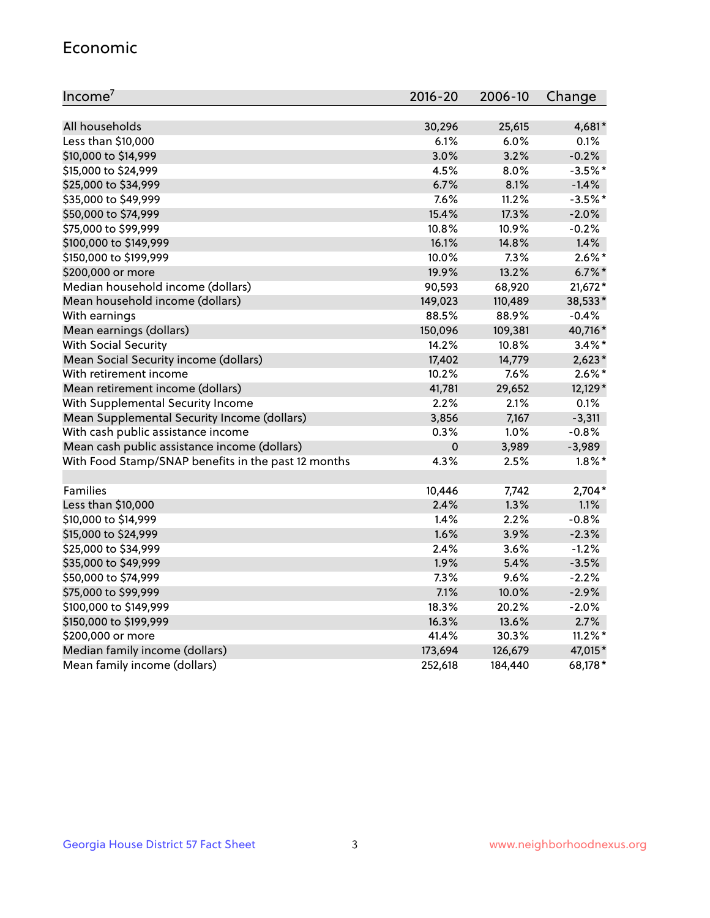#### Economic

| Income <sup>7</sup>                                 | 2016-20     | 2006-10 | Change     |
|-----------------------------------------------------|-------------|---------|------------|
|                                                     |             |         |            |
| All households                                      | 30,296      | 25,615  | 4,681*     |
| Less than \$10,000                                  | 6.1%        | 6.0%    | 0.1%       |
| \$10,000 to \$14,999                                | 3.0%        | 3.2%    | $-0.2%$    |
| \$15,000 to \$24,999                                | 4.5%        | 8.0%    | $-3.5%$ *  |
| \$25,000 to \$34,999                                | 6.7%        | 8.1%    | $-1.4%$    |
| \$35,000 to \$49,999                                | 7.6%        | 11.2%   | $-3.5%$ *  |
| \$50,000 to \$74,999                                | 15.4%       | 17.3%   | $-2.0%$    |
| \$75,000 to \$99,999                                | 10.8%       | 10.9%   | $-0.2%$    |
| \$100,000 to \$149,999                              | 16.1%       | 14.8%   | 1.4%       |
| \$150,000 to \$199,999                              | 10.0%       | 7.3%    | $2.6\%$ *  |
| \$200,000 or more                                   | 19.9%       | 13.2%   | $6.7\%$ *  |
| Median household income (dollars)                   | 90,593      | 68,920  | $21,672*$  |
| Mean household income (dollars)                     | 149,023     | 110,489 | 38,533*    |
| With earnings                                       | 88.5%       | 88.9%   | $-0.4%$    |
| Mean earnings (dollars)                             | 150,096     | 109,381 | 40,716*    |
| <b>With Social Security</b>                         | 14.2%       | 10.8%   | $3.4\%$ *  |
| Mean Social Security income (dollars)               | 17,402      | 14,779  | $2,623*$   |
| With retirement income                              | 10.2%       | 7.6%    | $2.6\%$ *  |
| Mean retirement income (dollars)                    | 41,781      | 29,652  | 12,129*    |
| With Supplemental Security Income                   | 2.2%        | $2.1\%$ | 0.1%       |
| Mean Supplemental Security Income (dollars)         | 3,856       | 7,167   | $-3,311$   |
| With cash public assistance income                  | 0.3%        | 1.0%    | $-0.8%$    |
| Mean cash public assistance income (dollars)        | $\mathbf 0$ | 3,989   | $-3,989$   |
| With Food Stamp/SNAP benefits in the past 12 months | 4.3%        | 2.5%    | $1.8\%$ *  |
|                                                     |             |         |            |
| Families                                            | 10,446      | 7,742   | $2,704*$   |
| Less than \$10,000                                  | 2.4%        | 1.3%    | 1.1%       |
| \$10,000 to \$14,999                                | 1.4%        | 2.2%    | $-0.8%$    |
| \$15,000 to \$24,999                                | 1.6%        | 3.9%    | $-2.3%$    |
| \$25,000 to \$34,999                                | 2.4%        | 3.6%    | $-1.2%$    |
| \$35,000 to \$49,999                                | 1.9%        | 5.4%    | $-3.5%$    |
| \$50,000 to \$74,999                                | 7.3%        | 9.6%    | $-2.2%$    |
| \$75,000 to \$99,999                                | 7.1%        | 10.0%   | $-2.9%$    |
| \$100,000 to \$149,999                              | 18.3%       | 20.2%   | $-2.0%$    |
| \$150,000 to \$199,999                              | 16.3%       | 13.6%   | 2.7%       |
| \$200,000 or more                                   | 41.4%       | 30.3%   | $11.2\%$ * |
| Median family income (dollars)                      | 173,694     | 126,679 | 47,015*    |
| Mean family income (dollars)                        | 252,618     | 184,440 | 68,178*    |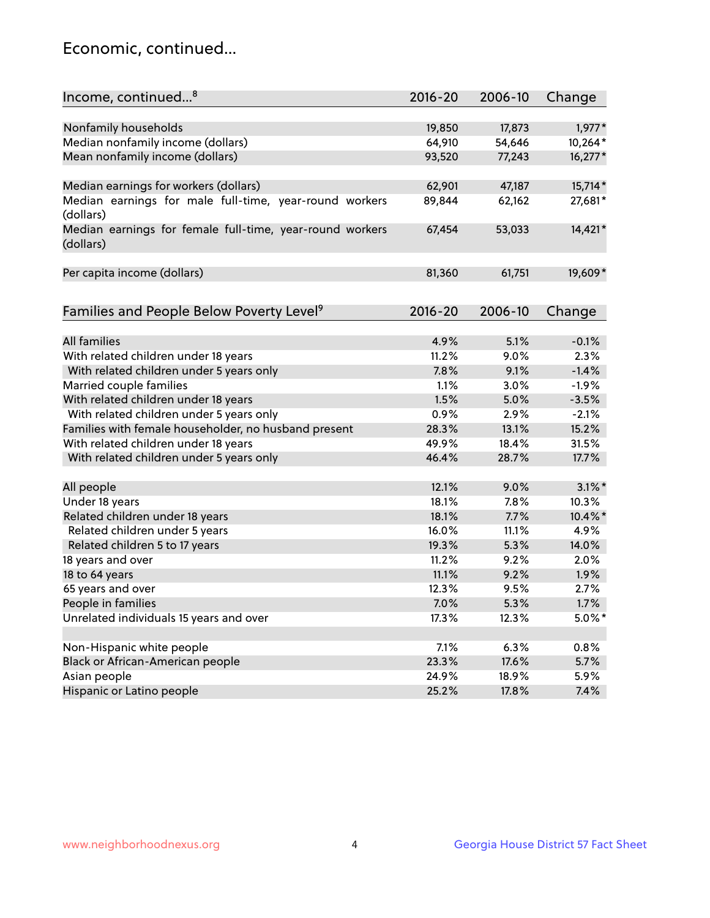## Economic, continued...

| Income, continued <sup>8</sup>                                        | $2016 - 20$ | 2006-10 | Change    |
|-----------------------------------------------------------------------|-------------|---------|-----------|
|                                                                       |             |         |           |
| Nonfamily households                                                  | 19,850      | 17,873  | $1,977*$  |
| Median nonfamily income (dollars)                                     | 64,910      | 54,646  | 10,264*   |
| Mean nonfamily income (dollars)                                       | 93,520      | 77,243  | $16,277*$ |
| Median earnings for workers (dollars)                                 | 62,901      | 47,187  | 15,714*   |
| Median earnings for male full-time, year-round workers                | 89,844      | 62,162  | 27,681*   |
| (dollars)                                                             |             |         |           |
| Median earnings for female full-time, year-round workers<br>(dollars) | 67,454      | 53,033  | 14,421*   |
| Per capita income (dollars)                                           | 81,360      | 61,751  | 19,609*   |
|                                                                       |             |         |           |
| Families and People Below Poverty Level <sup>9</sup>                  | $2016 - 20$ | 2006-10 | Change    |
|                                                                       |             |         |           |
| <b>All families</b>                                                   | 4.9%        | 5.1%    | $-0.1%$   |
| With related children under 18 years                                  | 11.2%       | 9.0%    | 2.3%      |
| With related children under 5 years only                              | 7.8%        | 9.1%    | $-1.4%$   |
| Married couple families                                               | 1.1%        | 3.0%    | $-1.9%$   |
| With related children under 18 years                                  | 1.5%        | 5.0%    | $-3.5%$   |
| With related children under 5 years only                              | 0.9%        | 2.9%    | $-2.1%$   |
| Families with female householder, no husband present                  | 28.3%       | 13.1%   | 15.2%     |
| With related children under 18 years                                  | 49.9%       | 18.4%   | 31.5%     |
| With related children under 5 years only                              | 46.4%       | 28.7%   | 17.7%     |
|                                                                       |             |         | $3.1\%$ * |
| All people                                                            | 12.1%       | 9.0%    |           |
| Under 18 years                                                        | 18.1%       | 7.8%    | 10.3%     |
| Related children under 18 years                                       | 18.1%       | 7.7%    | 10.4%*    |
| Related children under 5 years                                        | 16.0%       | 11.1%   | 4.9%      |
| Related children 5 to 17 years                                        | 19.3%       | 5.3%    | 14.0%     |
| 18 years and over                                                     | 11.2%       | 9.2%    | 2.0%      |
| 18 to 64 years                                                        | 11.1%       | 9.2%    | 1.9%      |
| 65 years and over                                                     | 12.3%       | 9.5%    | 2.7%      |
| People in families                                                    | 7.0%        | 5.3%    | 1.7%      |
| Unrelated individuals 15 years and over                               | 17.3%       | 12.3%   | $5.0\%$ * |
|                                                                       |             |         |           |
| Non-Hispanic white people                                             | 7.1%        | 6.3%    | 0.8%      |
| Black or African-American people                                      | 23.3%       | 17.6%   | 5.7%      |
| Asian people                                                          | 24.9%       | 18.9%   | 5.9%      |
| Hispanic or Latino people                                             | 25.2%       | 17.8%   | 7.4%      |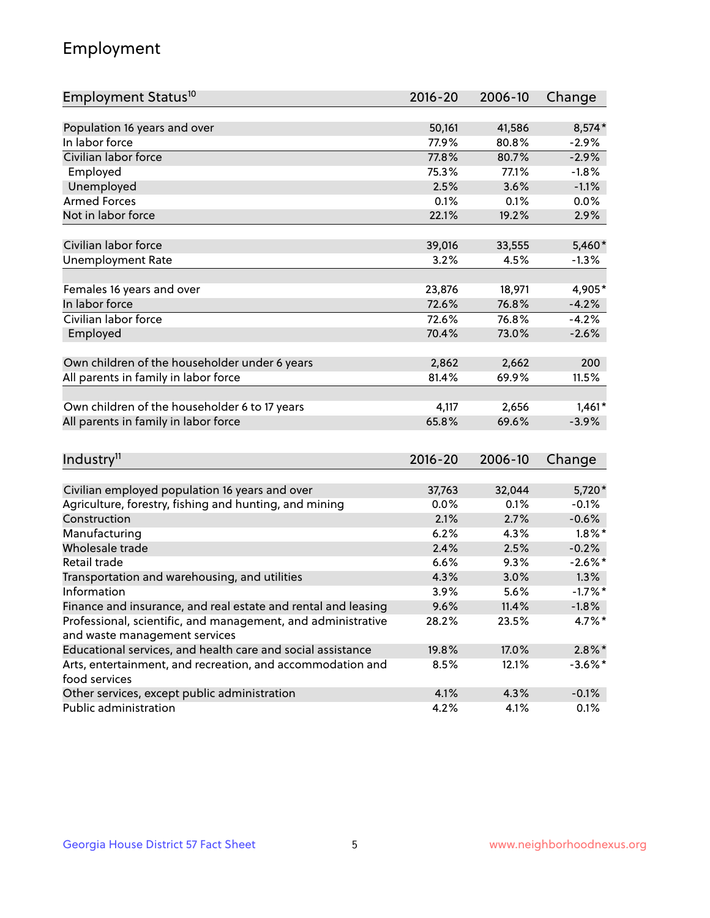## Employment

| Employment Status <sup>10</sup>                                        | $2016 - 20$    | 2006-10 | Change     |
|------------------------------------------------------------------------|----------------|---------|------------|
|                                                                        |                |         |            |
| Population 16 years and over                                           | 50,161         | 41,586  | 8,574*     |
| In labor force                                                         | 77.9%          | 80.8%   | $-2.9%$    |
| Civilian labor force                                                   | 77.8%          | 80.7%   | $-2.9%$    |
| Employed                                                               | 75.3%          | 77.1%   | $-1.8%$    |
| Unemployed                                                             | 2.5%           | 3.6%    | $-1.1%$    |
| <b>Armed Forces</b>                                                    | 0.1%           | 0.1%    | 0.0%       |
| Not in labor force                                                     | 22.1%          | 19.2%   | 2.9%       |
|                                                                        |                |         |            |
| Civilian labor force                                                   | 39,016         | 33,555  | 5,460*     |
| <b>Unemployment Rate</b>                                               | 3.2%           | 4.5%    | $-1.3%$    |
| Females 16 years and over                                              | 23,876         | 18,971  | 4,905*     |
| In labor force                                                         | 72.6%          | 76.8%   | $-4.2%$    |
| Civilian labor force                                                   | 72.6%          | 76.8%   | $-4.2%$    |
| Employed                                                               | 70.4%          | 73.0%   | $-2.6%$    |
|                                                                        |                |         |            |
| Own children of the householder under 6 years                          | 2,862          | 2,662   | 200        |
| All parents in family in labor force                                   | 81.4%          | 69.9%   | 11.5%      |
|                                                                        |                |         |            |
| Own children of the householder 6 to 17 years                          | 4,117          | 2,656   | $1,461*$   |
| All parents in family in labor force                                   | 65.8%          | 69.6%   | $-3.9%$    |
|                                                                        |                |         |            |
| Industry <sup>11</sup>                                                 | $2016 - 20$    | 2006-10 | Change     |
|                                                                        |                | 32,044  | 5,720*     |
| Civilian employed population 16 years and over                         | 37,763<br>0.0% | 0.1%    | $-0.1%$    |
| Agriculture, forestry, fishing and hunting, and mining<br>Construction | 2.1%           | 2.7%    | $-0.6%$    |
| Manufacturing                                                          | 6.2%           | 4.3%    | $1.8\%$ *  |
| Wholesale trade                                                        | 2.4%           | 2.5%    | $-0.2%$    |
| Retail trade                                                           | 6.6%           | 9.3%    | $-2.6\%$ * |
| Transportation and warehousing, and utilities                          | 4.3%           | 3.0%    | 1.3%       |
| Information                                                            | 3.9%           | 5.6%    | $-1.7%$ *  |
| Finance and insurance, and real estate and rental and leasing          | 9.6%           | 11.4%   | $-1.8%$    |
| Professional, scientific, and management, and administrative           | 28.2%          | 23.5%   | 4.7%*      |
| and waste management services                                          |                |         |            |
| Educational services, and health care and social assistance            | 19.8%          | 17.0%   | $2.8\%$ *  |
| Arts, entertainment, and recreation, and accommodation and             | 8.5%           | 12.1%   | $-3.6\%$ * |
| food services                                                          |                |         |            |
| Other services, except public administration                           | 4.1%           | 4.3%    | $-0.1%$    |
| Public administration                                                  | 4.2%           | 4.1%    | 0.1%       |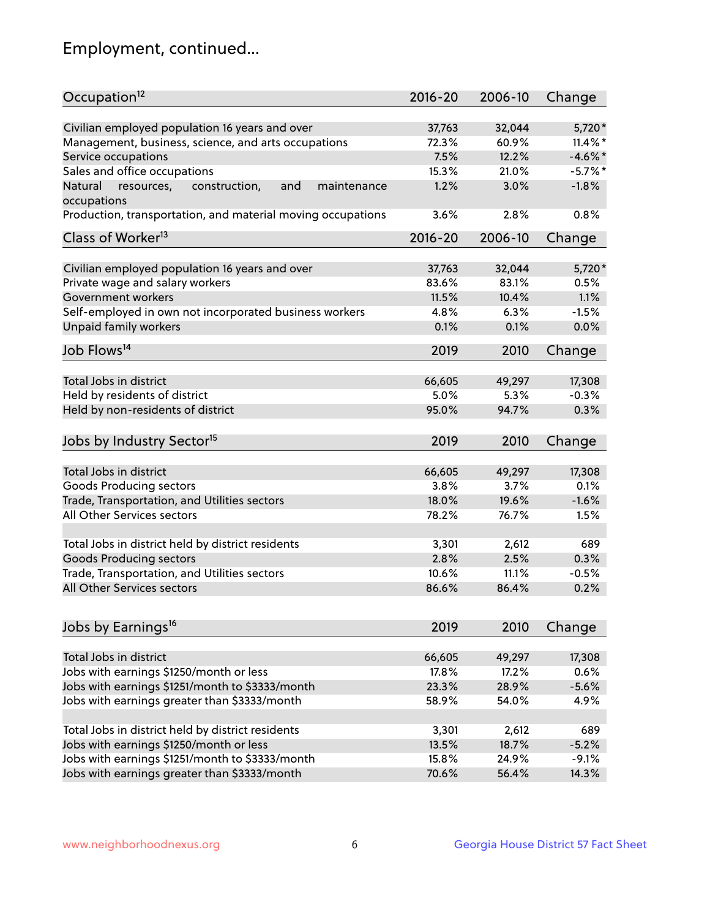## Employment, continued...

| Occupation <sup>12</sup>                                                    | $2016 - 20$ | 2006-10 | Change     |
|-----------------------------------------------------------------------------|-------------|---------|------------|
| Civilian employed population 16 years and over                              | 37,763      | 32,044  | 5,720*     |
| Management, business, science, and arts occupations                         | 72.3%       | 60.9%   | $11.4\%$ * |
| Service occupations                                                         | 7.5%        | 12.2%   | $-4.6%$ *  |
| Sales and office occupations                                                | 15.3%       | 21.0%   | $-5.7\%$ * |
|                                                                             | 1.2%        |         | $-1.8%$    |
| Natural<br>and<br>resources,<br>construction,<br>maintenance<br>occupations |             | 3.0%    |            |
| Production, transportation, and material moving occupations                 | 3.6%        | 2.8%    | 0.8%       |
| Class of Worker <sup>13</sup>                                               | $2016 - 20$ | 2006-10 | Change     |
| Civilian employed population 16 years and over                              | 37,763      | 32,044  | 5,720*     |
| Private wage and salary workers                                             | 83.6%       | 83.1%   | 0.5%       |
| Government workers                                                          | 11.5%       | 10.4%   | 1.1%       |
|                                                                             |             |         |            |
| Self-employed in own not incorporated business workers                      | 4.8%        | 6.3%    | $-1.5%$    |
| Unpaid family workers                                                       | 0.1%        | 0.1%    | 0.0%       |
| Job Flows <sup>14</sup>                                                     | 2019        | 2010    | Change     |
|                                                                             |             |         |            |
| Total Jobs in district                                                      | 66,605      | 49,297  | 17,308     |
| Held by residents of district                                               | 5.0%        | 5.3%    | $-0.3%$    |
| Held by non-residents of district                                           | 95.0%       | 94.7%   | 0.3%       |
| Jobs by Industry Sector <sup>15</sup>                                       | 2019        | 2010    | Change     |
|                                                                             |             |         |            |
| Total Jobs in district                                                      | 66,605      | 49,297  | 17,308     |
| Goods Producing sectors                                                     | 3.8%        | 3.7%    | 0.1%       |
| Trade, Transportation, and Utilities sectors                                | 18.0%       | 19.6%   | $-1.6%$    |
| All Other Services sectors                                                  | 78.2%       | 76.7%   | 1.5%       |
| Total Jobs in district held by district residents                           | 3,301       | 2,612   | 689        |
| <b>Goods Producing sectors</b>                                              | 2.8%        | 2.5%    | 0.3%       |
| Trade, Transportation, and Utilities sectors                                | 10.6%       | 11.1%   | $-0.5%$    |
| All Other Services sectors                                                  | 86.6%       | 86.4%   | 0.2%       |
|                                                                             |             |         |            |
| Jobs by Earnings <sup>16</sup>                                              | 2019        | 2010    | Change     |
|                                                                             |             |         |            |
| Total Jobs in district                                                      | 66,605      | 49,297  | 17,308     |
| Jobs with earnings \$1250/month or less                                     | 17.8%       | 17.2%   | 0.6%       |
| Jobs with earnings \$1251/month to \$3333/month                             | 23.3%       | 28.9%   | $-5.6%$    |
| Jobs with earnings greater than \$3333/month                                | 58.9%       | 54.0%   | 4.9%       |
| Total Jobs in district held by district residents                           | 3,301       | 2,612   | 689        |
| Jobs with earnings \$1250/month or less                                     | 13.5%       | 18.7%   | $-5.2%$    |
| Jobs with earnings \$1251/month to \$3333/month                             | 15.8%       | 24.9%   | $-9.1%$    |
| Jobs with earnings greater than \$3333/month                                | 70.6%       | 56.4%   | 14.3%      |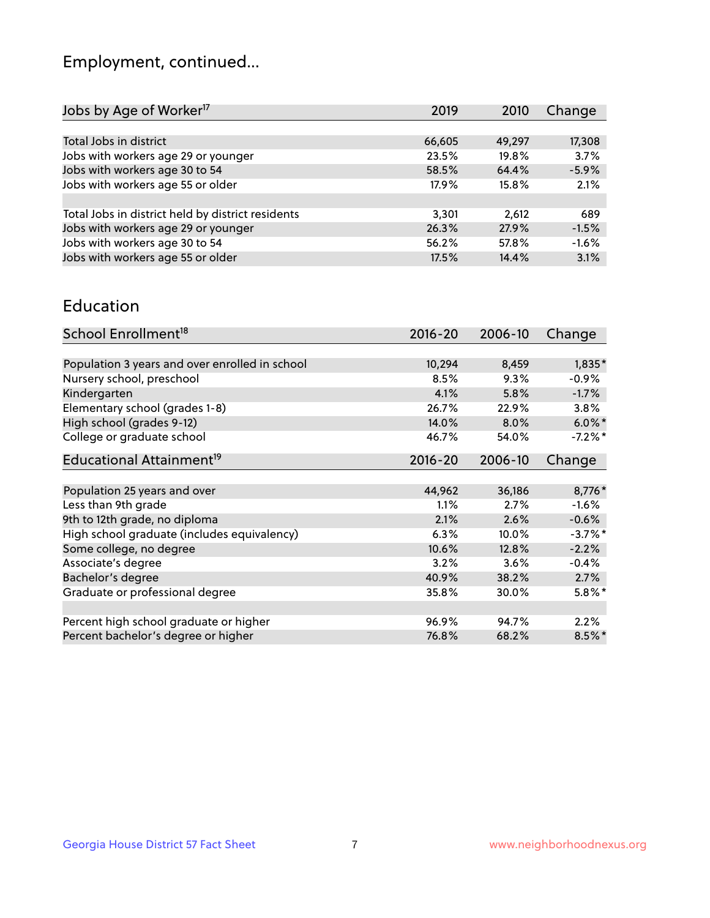## Employment, continued...

| 2019   | 2010   | Change  |
|--------|--------|---------|
|        |        |         |
| 66,605 | 49,297 | 17,308  |
| 23.5%  | 19.8%  | 3.7%    |
| 58.5%  | 64.4%  | $-5.9%$ |
| 17.9%  | 15.8%  | 2.1%    |
|        |        |         |
| 3,301  | 2,612  | 689     |
| 26.3%  | 27.9%  | $-1.5%$ |
| 56.2%  | 57.8%  | $-1.6%$ |
| 17.5%  | 14.4%  | 3.1%    |
|        |        |         |

#### Education

| School Enrollment <sup>18</sup>                | $2016 - 20$ | 2006-10 | Change     |
|------------------------------------------------|-------------|---------|------------|
|                                                |             |         |            |
| Population 3 years and over enrolled in school | 10,294      | 8,459   | $1,835*$   |
| Nursery school, preschool                      | 8.5%        | 9.3%    | $-0.9%$    |
| Kindergarten                                   | 4.1%        | 5.8%    | $-1.7%$    |
| Elementary school (grades 1-8)                 | 26.7%       | 22.9%   | 3.8%       |
| High school (grades 9-12)                      | 14.0%       | 8.0%    | $6.0\%$ *  |
| College or graduate school                     | 46.7%       | 54.0%   | $-7.2\%$ * |
| Educational Attainment <sup>19</sup>           | $2016 - 20$ | 2006-10 | Change     |
|                                                |             |         |            |
| Population 25 years and over                   | 44,962      | 36,186  | 8,776*     |
| Less than 9th grade                            | 1.1%        | 2.7%    | $-1.6%$    |
| 9th to 12th grade, no diploma                  | 2.1%        | 2.6%    | $-0.6%$    |
| High school graduate (includes equivalency)    | 6.3%        | 10.0%   | $-3.7\%$ * |
| Some college, no degree                        | 10.6%       | 12.8%   | $-2.2%$    |
| Associate's degree                             | 3.2%        | 3.6%    | $-0.4%$    |
| Bachelor's degree                              | 40.9%       | 38.2%   | 2.7%       |
| Graduate or professional degree                | 35.8%       | 30.0%   | $5.8\%$ *  |
|                                                |             |         |            |
| Percent high school graduate or higher         | 96.9%       | 94.7%   | 2.2%       |
| Percent bachelor's degree or higher            | 76.8%       | 68.2%   | $8.5\%$ *  |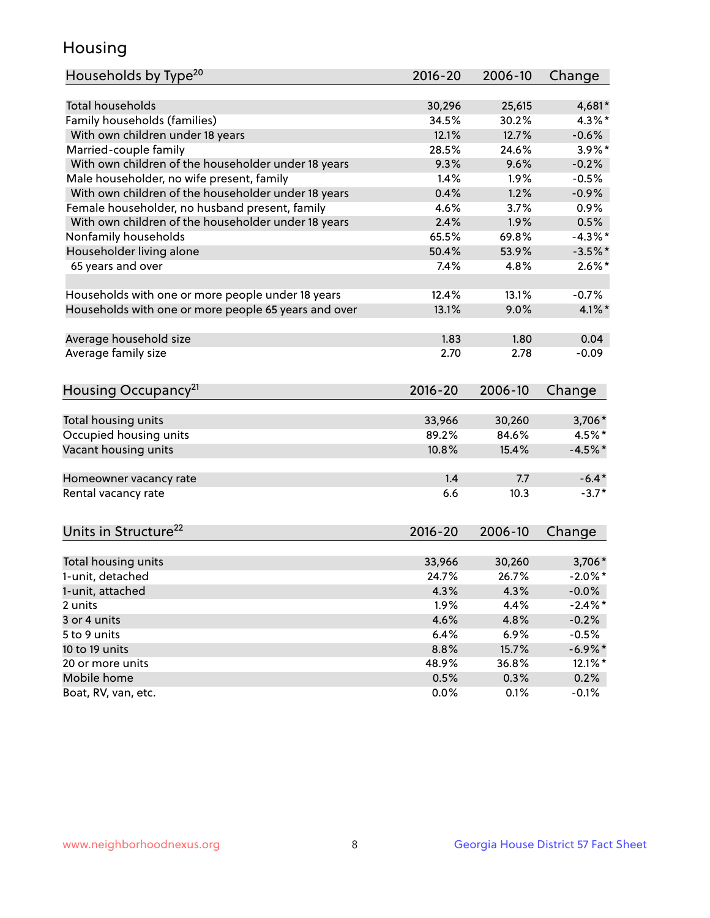## Housing

| Households by Type <sup>20</sup>                     | 2016-20     | 2006-10 | Change     |
|------------------------------------------------------|-------------|---------|------------|
|                                                      |             |         |            |
| <b>Total households</b>                              | 30,296      | 25,615  | 4,681*     |
| Family households (families)                         | 34.5%       | 30.2%   | 4.3%*      |
| With own children under 18 years                     | 12.1%       | 12.7%   | $-0.6%$    |
| Married-couple family                                | 28.5%       | 24.6%   | $3.9\%$ *  |
| With own children of the householder under 18 years  | 9.3%        | 9.6%    | $-0.2%$    |
| Male householder, no wife present, family            | 1.4%        | 1.9%    | $-0.5%$    |
| With own children of the householder under 18 years  | 0.4%        | 1.2%    | $-0.9%$    |
| Female householder, no husband present, family       | 4.6%        | 3.7%    | 0.9%       |
| With own children of the householder under 18 years  | 2.4%        | 1.9%    | 0.5%       |
| Nonfamily households                                 | 65.5%       | 69.8%   | $-4.3\%$ * |
| Householder living alone                             | 50.4%       | 53.9%   | $-3.5%$ *  |
| 65 years and over                                    | 7.4%        | 4.8%    | $2.6\%$ *  |
|                                                      |             |         |            |
| Households with one or more people under 18 years    | 12.4%       | 13.1%   | $-0.7%$    |
| Households with one or more people 65 years and over | 13.1%       | 9.0%    | $4.1\%$ *  |
|                                                      |             |         |            |
| Average household size                               | 1.83        | 1.80    | 0.04       |
| Average family size                                  | 2.70        | 2.78    | $-0.09$    |
|                                                      |             |         |            |
| Housing Occupancy <sup>21</sup>                      | $2016 - 20$ | 2006-10 | Change     |
|                                                      |             |         |            |
| Total housing units                                  | 33,966      | 30,260  | 3,706*     |
| Occupied housing units                               | 89.2%       | 84.6%   | 4.5%*      |
| Vacant housing units                                 | 10.8%       | 15.4%   | $-4.5%$ *  |
|                                                      |             |         |            |
| Homeowner vacancy rate                               | 1.4         | 7.7     | $-6.4*$    |
| Rental vacancy rate                                  | 6.6         | 10.3    | $-3.7*$    |
|                                                      |             |         |            |
| Units in Structure <sup>22</sup>                     | $2016 - 20$ | 2006-10 |            |
|                                                      |             |         | Change     |
| Total housing units                                  | 33,966      | 30,260  | $3,706*$   |
| 1-unit, detached                                     | 24.7%       | 26.7%   | $-2.0\%$ * |
| 1-unit, attached                                     | 4.3%        | 4.3%    | $-0.0\%$   |
| 2 units                                              | 1.9%        | 4.4%    | $-2.4\%$ * |
| 3 or 4 units                                         | 4.6%        | 4.8%    | $-0.2%$    |
| 5 to 9 units                                         | 6.4%        | 6.9%    | $-0.5%$    |
| 10 to 19 units                                       | 8.8%        | 15.7%   | $-6.9\%$ * |
|                                                      |             | 36.8%   |            |
| 20 or more units<br>Mobile home                      | 48.9%       |         | $12.1\%$ * |
|                                                      | 0.5%        | 0.3%    | 0.2%       |
| Boat, RV, van, etc.                                  | 0.0%        | 0.1%    | $-0.1%$    |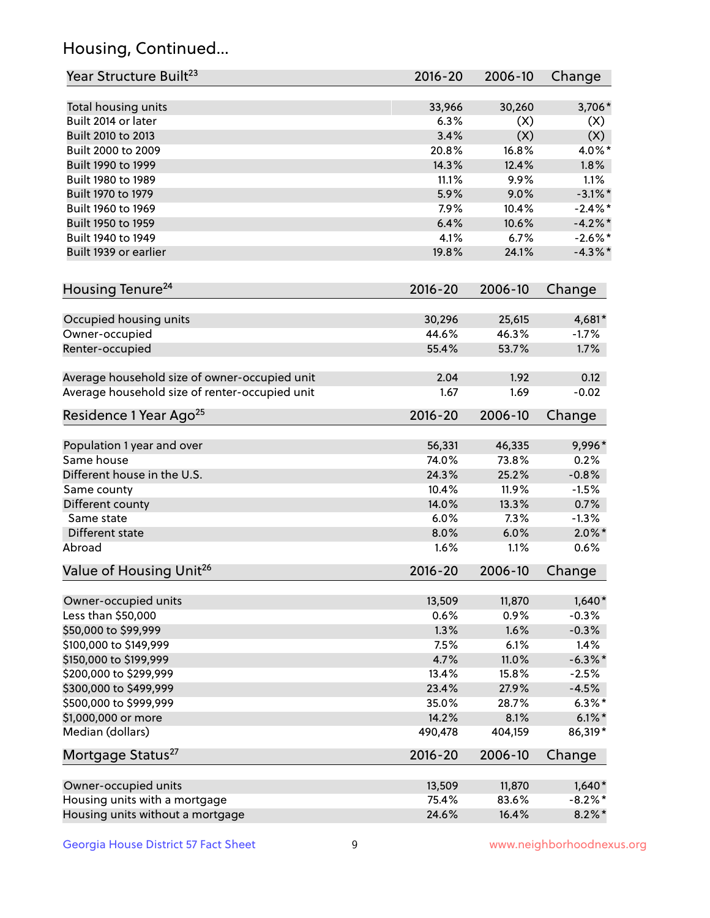## Housing, Continued...

| Year Structure Built <sup>23</sup>             | 2016-20     | 2006-10 | Change     |
|------------------------------------------------|-------------|---------|------------|
| Total housing units                            | 33,966      | 30,260  | 3,706*     |
| Built 2014 or later                            | 6.3%        | (X)     | (X)        |
| Built 2010 to 2013                             | 3.4%        | (X)     | (X)        |
| Built 2000 to 2009                             | 20.8%       | 16.8%   | 4.0%*      |
| Built 1990 to 1999                             | 14.3%       | 12.4%   | 1.8%       |
| Built 1980 to 1989                             | 11.1%       | 9.9%    | 1.1%       |
| Built 1970 to 1979                             | 5.9%        | 9.0%    | $-3.1\%$ * |
| Built 1960 to 1969                             | 7.9%        | 10.4%   | $-2.4\%$ * |
| Built 1950 to 1959                             | 6.4%        | 10.6%   | $-4.2\%$ * |
| Built 1940 to 1949                             | 4.1%        | 6.7%    | $-2.6\%$ * |
| Built 1939 or earlier                          | 19.8%       | 24.1%   | $-4.3\%$ * |
| Housing Tenure <sup>24</sup>                   | $2016 - 20$ | 2006-10 | Change     |
| Occupied housing units                         | 30,296      | 25,615  | 4,681*     |
| Owner-occupied                                 | 44.6%       | 46.3%   | $-1.7%$    |
| Renter-occupied                                | 55.4%       | 53.7%   | 1.7%       |
| Average household size of owner-occupied unit  | 2.04        | 1.92    | 0.12       |
| Average household size of renter-occupied unit | 1.67        | 1.69    | $-0.02$    |
| Residence 1 Year Ago <sup>25</sup>             | $2016 - 20$ | 2006-10 | Change     |
| Population 1 year and over                     | 56,331      | 46,335  | 9,996*     |
| Same house                                     | 74.0%       | 73.8%   | 0.2%       |
| Different house in the U.S.                    | 24.3%       | 25.2%   | $-0.8%$    |
| Same county                                    | 10.4%       | 11.9%   | $-1.5%$    |
| Different county                               | 14.0%       | 13.3%   | 0.7%       |
| Same state                                     | 6.0%        | 7.3%    | $-1.3%$    |
| Different state                                | 8.0%        | 6.0%    | $2.0\%$ *  |
| Abroad                                         | 1.6%        | 1.1%    | 0.6%       |
| Value of Housing Unit <sup>26</sup>            | $2016 - 20$ | 2006-10 | Change     |
| Owner-occupied units                           | 13,509      | 11,870  | $1,640*$   |
| Less than \$50,000                             | 0.6%        | 0.9%    | $-0.3%$    |
| \$50,000 to \$99,999                           | 1.3%        | 1.6%    | $-0.3%$    |
| \$100,000 to \$149,999                         | 7.5%        | 6.1%    | 1.4%       |
| \$150,000 to \$199,999                         | 4.7%        | 11.0%   | $-6.3\%$ * |
| \$200,000 to \$299,999                         | 13.4%       | 15.8%   | $-2.5%$    |
| \$300,000 to \$499,999                         | 23.4%       | 27.9%   | $-4.5%$    |
| \$500,000 to \$999,999                         | 35.0%       | 28.7%   | $6.3\%*$   |
| \$1,000,000 or more                            | 14.2%       | 8.1%    | $6.1\%$ *  |
| Median (dollars)                               | 490,478     | 404,159 | 86,319*    |
| Mortgage Status <sup>27</sup>                  | $2016 - 20$ | 2006-10 | Change     |
| Owner-occupied units                           | 13,509      | 11,870  | $1,640*$   |
| Housing units with a mortgage                  | 75.4%       | 83.6%   | $-8.2\%$ * |
| Housing units without a mortgage               | 24.6%       | 16.4%   | $8.2\%$ *  |
|                                                |             |         |            |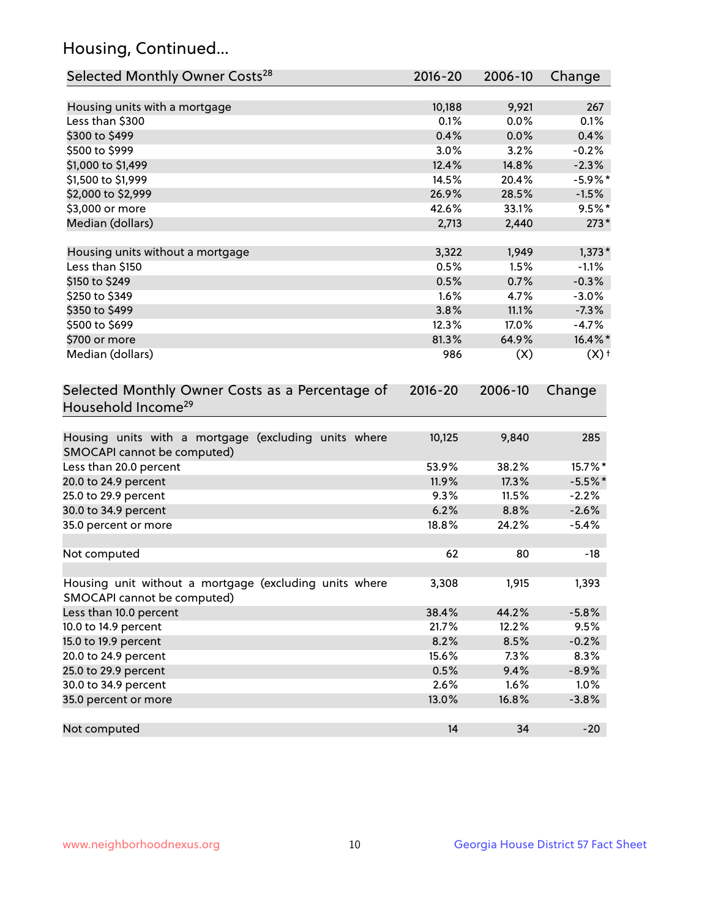## Housing, Continued...

| Selected Monthly Owner Costs <sup>28</sup>                                            | $2016 - 20$ | 2006-10 | Change             |
|---------------------------------------------------------------------------------------|-------------|---------|--------------------|
| Housing units with a mortgage                                                         | 10,188      | 9,921   | 267                |
| Less than \$300                                                                       | 0.1%        | 0.0%    | 0.1%               |
| \$300 to \$499                                                                        | 0.4%        | 0.0%    | 0.4%               |
| \$500 to \$999                                                                        | 3.0%        | 3.2%    | $-0.2%$            |
| \$1,000 to \$1,499                                                                    | 12.4%       | 14.8%   | $-2.3%$            |
| \$1,500 to \$1,999                                                                    | 14.5%       | 20.4%   | $-5.9\%$ *         |
| \$2,000 to \$2,999                                                                    | 26.9%       | 28.5%   | $-1.5%$            |
| \$3,000 or more                                                                       | 42.6%       | 33.1%   | $9.5%$ *           |
| Median (dollars)                                                                      | 2,713       | 2,440   | $273*$             |
| Housing units without a mortgage                                                      | 3,322       | 1,949   | $1,373*$           |
| Less than \$150                                                                       | 0.5%        | 1.5%    | $-1.1%$            |
| \$150 to \$249                                                                        | 0.5%        | 0.7%    | $-0.3%$            |
| \$250 to \$349                                                                        | 1.6%        | 4.7%    | $-3.0%$            |
| \$350 to \$499                                                                        | 3.8%        | 11.1%   | $-7.3%$            |
| \$500 to \$699                                                                        | 12.3%       | 17.0%   | $-4.7%$            |
| \$700 or more                                                                         | 81.3%       | 64.9%   | 16.4%*             |
| Median (dollars)                                                                      | 986         | (X)     | $(X)$ <sup>+</sup> |
| Selected Monthly Owner Costs as a Percentage of<br>Household Income <sup>29</sup>     | $2016 - 20$ | 2006-10 | Change             |
| Housing units with a mortgage (excluding units where<br>SMOCAPI cannot be computed)   | 10,125      | 9,840   | 285                |
| Less than 20.0 percent                                                                | 53.9%       | 38.2%   | 15.7%*             |
| 20.0 to 24.9 percent                                                                  | 11.9%       | 17.3%   | $-5.5%$ *          |
| 25.0 to 29.9 percent                                                                  | 9.3%        | 11.5%   | $-2.2%$            |
| 30.0 to 34.9 percent                                                                  | 6.2%        | 8.8%    | $-2.6%$            |
| 35.0 percent or more                                                                  | 18.8%       | 24.2%   | $-5.4%$            |
| Not computed                                                                          | 62          | 80      | $-18$              |
| Housing unit without a mortgage (excluding units where<br>SMOCAPI cannot be computed) | 3,308       | 1,915   | 1,393              |
| Less than 10.0 percent                                                                | 38.4%       | 44.2%   | $-5.8%$            |
| 10.0 to 14.9 percent                                                                  | 21.7%       | 12.2%   | 9.5%               |
| 15.0 to 19.9 percent                                                                  | 8.2%        | 8.5%    | $-0.2%$            |
| 20.0 to 24.9 percent                                                                  | 15.6%       | 7.3%    | 8.3%               |
| 25.0 to 29.9 percent                                                                  | 0.5%        | 9.4%    | $-8.9%$            |
| 30.0 to 34.9 percent                                                                  | 2.6%        | 1.6%    | 1.0%               |
| 35.0 percent or more                                                                  | 13.0%       | 16.8%   | $-3.8%$            |
| Not computed                                                                          | 14          | 34      | $-20$              |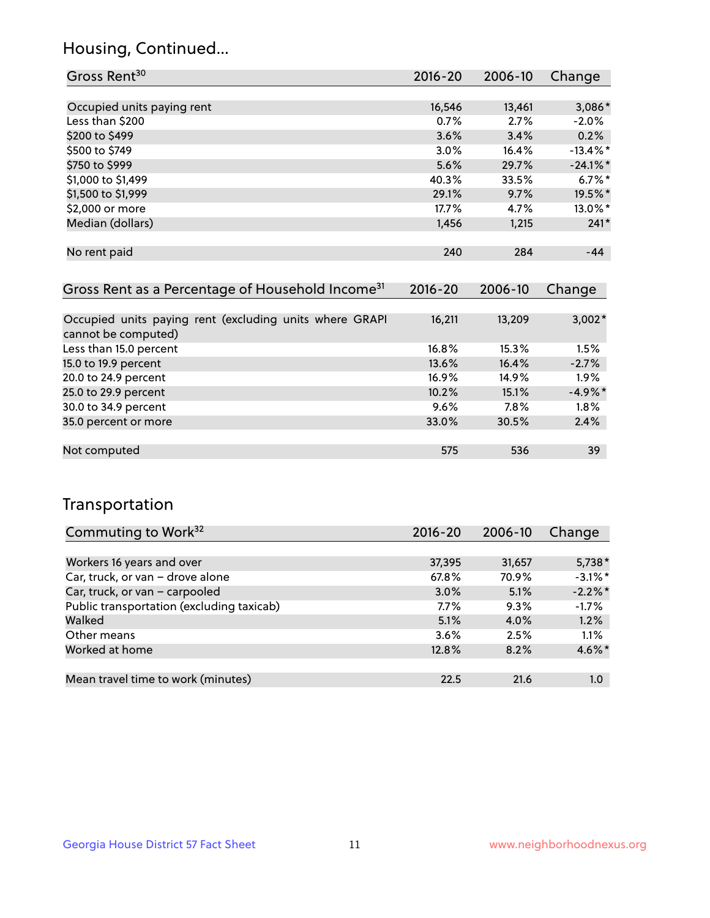## Housing, Continued...

| Gross Rent <sup>30</sup>   | 2016-20 | 2006-10 | Change               |
|----------------------------|---------|---------|----------------------|
|                            |         |         |                      |
| Occupied units paying rent | 16,546  | 13,461  | 3,086*               |
| Less than \$200            | 0.7%    | 2.7%    | $-2.0%$              |
| \$200 to \$499             | 3.6%    | 3.4%    | 0.2%                 |
| \$500 to \$749             | 3.0%    | 16.4%   | $-13.4\%$ *          |
| \$750 to \$999             | 5.6%    | 29.7%   | $-24.1\%$ *          |
| \$1,000 to \$1,499         | 40.3%   | 33.5%   | $6.7\%$ <sup>*</sup> |
| \$1,500 to \$1,999         | 29.1%   | 9.7%    | 19.5%*               |
| \$2,000 or more            | 17.7%   | 4.7%    | 13.0%*               |
| Median (dollars)           | 1,456   | 1,215   | $241*$               |
|                            |         |         |                      |
| No rent paid               | 240     | 284     | $-44$                |
|                            |         |         |                      |

| Gross Rent as a Percentage of Household Income <sup>31</sup>                   | $2016 - 20$ | 2006-10 | Change    |
|--------------------------------------------------------------------------------|-------------|---------|-----------|
|                                                                                |             |         |           |
| Occupied units paying rent (excluding units where GRAPI<br>cannot be computed) | 16,211      | 13,209  | $3,002*$  |
| Less than 15.0 percent                                                         | 16.8%       | 15.3%   | 1.5%      |
| 15.0 to 19.9 percent                                                           | 13.6%       | 16.4%   | $-2.7%$   |
| 20.0 to 24.9 percent                                                           | $16.9\%$    | 14.9%   | $1.9\%$   |
| 25.0 to 29.9 percent                                                           | 10.2%       | 15.1%   | $-4.9%$ * |
| 30.0 to 34.9 percent                                                           | $9.6\%$     | $7.8\%$ | $1.8\%$   |
| 35.0 percent or more                                                           | 33.0%       | 30.5%   | 2.4%      |
|                                                                                |             |         |           |
| Not computed                                                                   | 575         | 536     | 39        |

## Transportation

| Commuting to Work <sup>32</sup>           | 2016-20 | 2006-10 | Change     |
|-------------------------------------------|---------|---------|------------|
|                                           |         |         |            |
| Workers 16 years and over                 | 37,395  | 31,657  | $5,738*$   |
| Car, truck, or van - drove alone          | 67.8%   | 70.9%   | $-3.1\%$ * |
| Car, truck, or van - carpooled            | 3.0%    | 5.1%    | $-2.2\%$ * |
| Public transportation (excluding taxicab) | $7.7\%$ | 9.3%    | $-1.7%$    |
| Walked                                    | 5.1%    | $4.0\%$ | 1.2%       |
| Other means                               | 3.6%    | 2.5%    | 1.1%       |
| Worked at home                            | 12.8%   | 8.2%    | 4.6%*      |
|                                           |         |         |            |
| Mean travel time to work (minutes)        | 22.5    | 21.6    | 1.0        |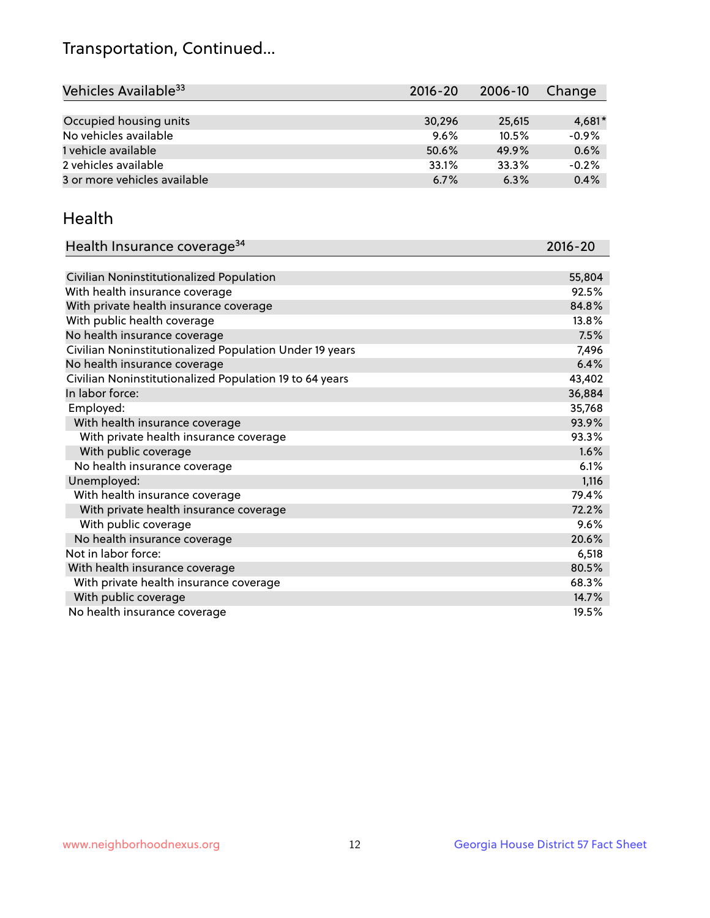## Transportation, Continued...

| Vehicles Available <sup>33</sup> | $2016 - 20$ | 2006-10 | Change   |
|----------------------------------|-------------|---------|----------|
|                                  |             |         |          |
| Occupied housing units           | 30,296      | 25,615  | $4,681*$ |
| No vehicles available            | 9.6%        | 10.5%   | $-0.9%$  |
| 1 vehicle available              | 50.6%       | 49.9%   | 0.6%     |
| 2 vehicles available             | 33.1%       | 33.3%   | $-0.2%$  |
| 3 or more vehicles available     | 6.7%        | 6.3%    | 0.4%     |

#### Health

| Health Insurance coverage <sup>34</sup>                 | 2016-20 |
|---------------------------------------------------------|---------|
|                                                         |         |
| Civilian Noninstitutionalized Population                | 55,804  |
| With health insurance coverage                          | 92.5%   |
| With private health insurance coverage                  | 84.8%   |
| With public health coverage                             | 13.8%   |
| No health insurance coverage                            | 7.5%    |
| Civilian Noninstitutionalized Population Under 19 years | 7,496   |
| No health insurance coverage                            | 6.4%    |
| Civilian Noninstitutionalized Population 19 to 64 years | 43,402  |
| In labor force:                                         | 36,884  |
| Employed:                                               | 35,768  |
| With health insurance coverage                          | 93.9%   |
| With private health insurance coverage                  | 93.3%   |
| With public coverage                                    | 1.6%    |
| No health insurance coverage                            | 6.1%    |
| Unemployed:                                             | 1,116   |
| With health insurance coverage                          | 79.4%   |
| With private health insurance coverage                  | 72.2%   |
| With public coverage                                    | 9.6%    |
| No health insurance coverage                            | 20.6%   |
| Not in labor force:                                     | 6,518   |
| With health insurance coverage                          | 80.5%   |
| With private health insurance coverage                  | 68.3%   |
| With public coverage                                    | 14.7%   |
| No health insurance coverage                            | 19.5%   |